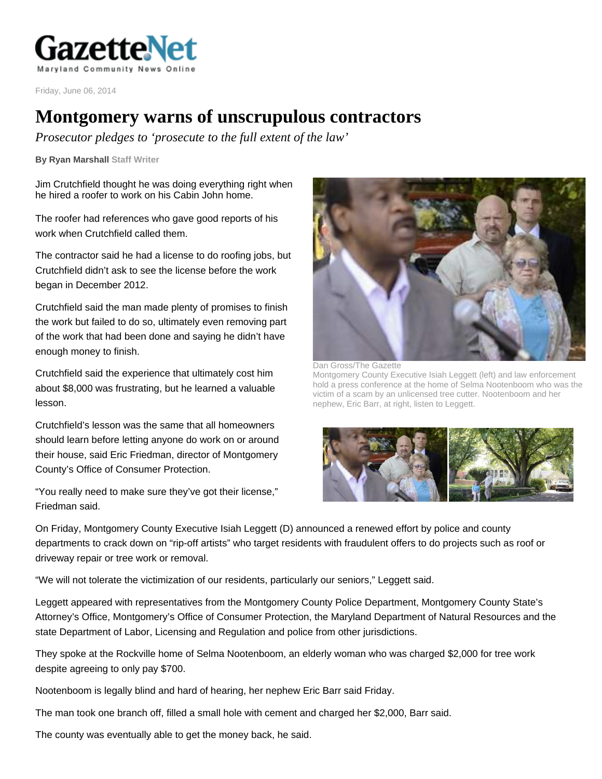

Friday, June 06, 2014

## **Montgomery warns of unscrupulous contractors**

*Prosecutor pledges to 'prosecute to the full extent of the law'* 

**By Ryan Marshall Staff Writer** 

Jim Crutchfield thought he was doing everything right when he hired a roofer to work on his Cabin John home.

The roofer had references who gave good reports of his work when Crutchfield called them.

The contractor said he had a license to do roofing jobs, but Crutchfield didn't ask to see the license before the work began in December 2012.

Crutchfield said the man made plenty of promises to finish the work but failed to do so, ultimately even removing part of the work that had been done and saying he didn't have enough money to finish.

Crutchfield said the experience that ultimately cost him about \$8,000 was frustrating, but he learned a valuable lesson.

Crutchfield's lesson was the same that all homeowners should learn before letting anyone do work on or around their house, said Eric Friedman, director of Montgomery County's Office of Consumer Protection.

"You really need to make sure they've got their license," Friedman said.



Dan Gross/The Gazette

Montgomery County Executive Isiah Leggett (left) and law enforcement hold a press conference at the home of Selma Nootenboom who was the victim of a scam by an unlicensed tree cutter. Nootenboom and her nephew, Eric Barr, at right, listen to Leggett.



On Friday, Montgomery County Executive Isiah Leggett (D) announced a renewed effort by police and county departments to crack down on "rip-off artists" who target residents with fraudulent offers to do projects such as roof or driveway repair or tree work or removal.

"We will not tolerate the victimization of our residents, particularly our seniors," Leggett said.

Leggett appeared with representatives from the Montgomery County Police Department, Montgomery County State's Attorney's Office, Montgomery's Office of Consumer Protection, the Maryland Department of Natural Resources and the state Department of Labor, Licensing and Regulation and police from other jurisdictions.

They spoke at the Rockville home of Selma Nootenboom, an elderly woman who was charged \$2,000 for tree work despite agreeing to only pay \$700.

Nootenboom is legally blind and hard of hearing, her nephew Eric Barr said Friday.

The man took one branch off, filled a small hole with cement and charged her \$2,000, Barr said.

The county was eventually able to get the money back, he said.